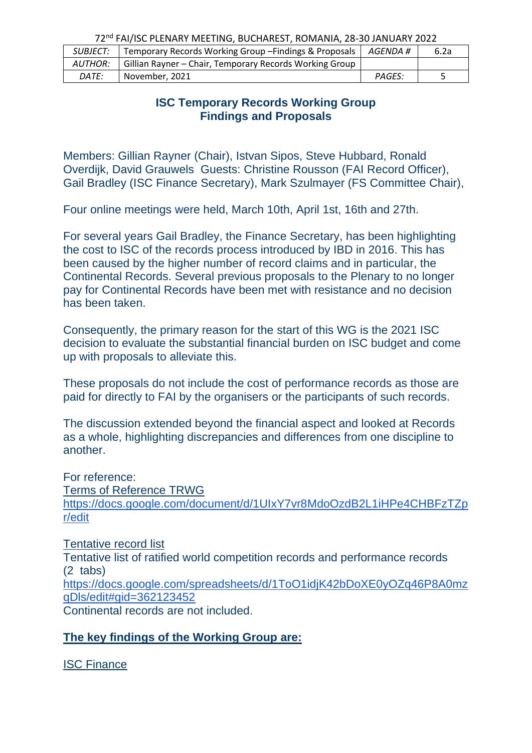| <b>SUBJECT:</b> | Temporary Records Working Group - Findings & Proposals  | AGENDA #      | 6.2a |
|-----------------|---------------------------------------------------------|---------------|------|
| AUTHOR:         | Gillian Rayner – Chair, Temporary Records Working Group |               |      |
| DATE:           | November, 2021                                          | <b>PAGES:</b> |      |

## **ISC Temporary Records Working Group Findings and Proposals**

Members: Gillian Rayner (Chair), Istvan Sipos, Steve Hubbard, Ronald Overdijk, David Grauwels Guests: Christine Rousson (FAI Record Officer), Gail Bradley (ISC Finance Secretary), Mark Szulmayer (FS Committee Chair),

Four online meetings were held, March 10th, April 1st, 16th and 27th.

For several years Gail Bradley, the Finance Secretary, has been highlighting the cost to ISC of the records process introduced by IBD in 2016. This has been caused by the higher number of record claims and in particular, the Continental Records. Several previous proposals to the Plenary to no longer pay for Continental Records have been met with resistance and no decision has been taken.

Consequently, the primary reason for the start of this WG is the 2021 ISC decision to evaluate the substantial financial burden on ISC budget and come up with proposals to alleviate this.

These proposals do not include the cost of performance records as those are paid for directly to FAI by the organisers or the participants of such records.

The discussion extended beyond the financial aspect and looked at Records as a whole, highlighting discrepancies and differences from one discipline to another.

For reference: Terms of Reference TRWG [https://docs.google.com/document/d/1UIxY7vr8MdoOzdB2L1iHPe4CHBFzTZp](https://docs.google.com/document/d/1UIxY7vr8MdoOzdB2L1iHPe4CHBFzTZpr/edit) [r/edit](https://docs.google.com/document/d/1UIxY7vr8MdoOzdB2L1iHPe4CHBFzTZpr/edit)

Tentative record list Tentative list of ratified world competition records and performance records (2 tabs) [https://docs.google.com/spreadsheets/d/1ToO1idjK42bDoXE0yOZq46P8A0mz](https://docs.google.com/spreadsheets/d/1ToO1idjK42bDoXE0yOZq46P8A0mzqDls/edit#gid=362123452) [qDls/edit#gid=362123452](https://docs.google.com/spreadsheets/d/1ToO1idjK42bDoXE0yOZq46P8A0mzqDls/edit#gid=362123452)

Continental records are not included.

# **The key findings of the Working Group are:**

ISC Finance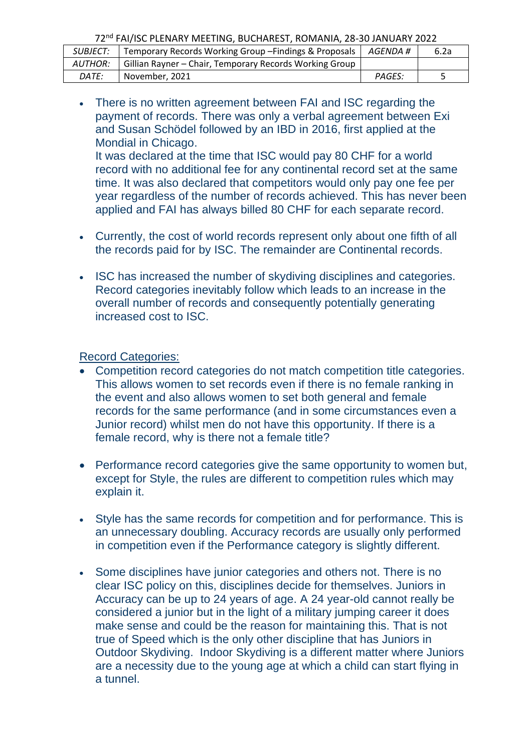| SUBJECT: | Temporary Records Working Group - Findings & Proposals  | AGENDA # | 6.2a |
|----------|---------------------------------------------------------|----------|------|
| AUTHOR:  | Gillian Rayner - Chair, Temporary Records Working Group |          |      |
| DATE:    | November, 2021                                          | PAGES:   |      |

• There is no written agreement between FAI and ISC regarding the payment of records. There was only a verbal agreement between Exi and Susan Schödel followed by an IBD in 2016, first applied at the Mondial in Chicago.

It was declared at the time that ISC would pay 80 CHF for a world record with no additional fee for any continental record set at the same time. It was also declared that competitors would only pay one fee per year regardless of the number of records achieved. This has never been applied and FAI has always billed 80 CHF for each separate record.

- Currently, the cost of world records represent only about one fifth of all the records paid for by ISC. The remainder are Continental records.
- ISC has increased the number of skydiving disciplines and categories. Record categories inevitably follow which leads to an increase in the overall number of records and consequently potentially generating increased cost to ISC.

Record Categories:

- Competition record categories do not match competition title categories. This allows women to set records even if there is no female ranking in the event and also allows women to set both general and female records for the same performance (and in some circumstances even a Junior record) whilst men do not have this opportunity. If there is a female record, why is there not a female title?
- Performance record categories give the same opportunity to women but, except for Style, the rules are different to competition rules which may explain it.
- Style has the same records for competition and for performance. This is an unnecessary doubling. Accuracy records are usually only performed in competition even if the Performance category is slightly different.
- Some disciplines have junior categories and others not. There is no clear ISC policy on this, disciplines decide for themselves. Juniors in Accuracy can be up to 24 years of age. A 24 year-old cannot really be considered a junior but in the light of a military jumping career it does make sense and could be the reason for maintaining this. That is not true of Speed which is the only other discipline that has Juniors in Outdoor Skydiving. Indoor Skydiving is a different matter where Juniors are a necessity due to the young age at which a child can start flying in a tunnel.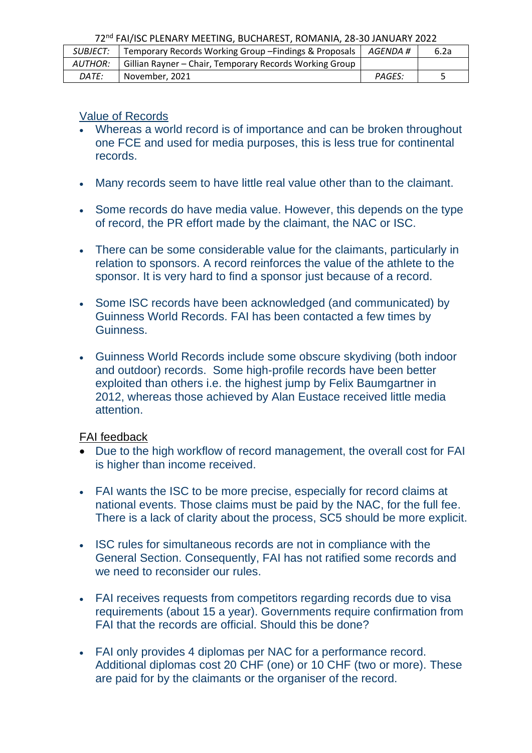| <b>SUBJECT:</b> | Temporary Records Working Group - Findings & Proposals  | AGENDA #      | 6.2a |
|-----------------|---------------------------------------------------------|---------------|------|
| <b>AUTHOR:</b>  | Gillian Rayner - Chair, Temporary Records Working Group |               |      |
| DATE:           | November, 2021                                          | <b>PAGES:</b> |      |

### Value of Records

- Whereas a world record is of importance and can be broken throughout one FCE and used for media purposes, this is less true for continental records.
- Many records seem to have little real value other than to the claimant.
- Some records do have media value. However, this depends on the type of record, the PR effort made by the claimant, the NAC or ISC.
- There can be some considerable value for the claimants, particularly in relation to sponsors. A record reinforces the value of the athlete to the sponsor. It is very hard to find a sponsor just because of a record.
- Some ISC records have been acknowledged (and communicated) by Guinness World Records. FAI has been contacted a few times by Guinness.
- Guinness World Records include some obscure skydiving (both indoor and outdoor) records. Some high-profile records have been better exploited than others i.e. the highest jump by Felix Baumgartner in 2012, whereas those achieved by Alan Eustace received little media attention.

#### FAI feedback

- Due to the high workflow of record management, the overall cost for FAI is higher than income received.
- FAI wants the ISC to be more precise, especially for record claims at national events. Those claims must be paid by the NAC, for the full fee. There is a lack of clarity about the process, SC5 should be more explicit.
- ISC rules for simultaneous records are not in compliance with the General Section. Consequently, FAI has not ratified some records and we need to reconsider our rules.
- FAI receives requests from competitors regarding records due to visa requirements (about 15 a year). Governments require confirmation from FAI that the records are official. Should this be done?
- FAI only provides 4 diplomas per NAC for a performance record. Additional diplomas cost 20 CHF (one) or 10 CHF (two or more). These are paid for by the claimants or the organiser of the record.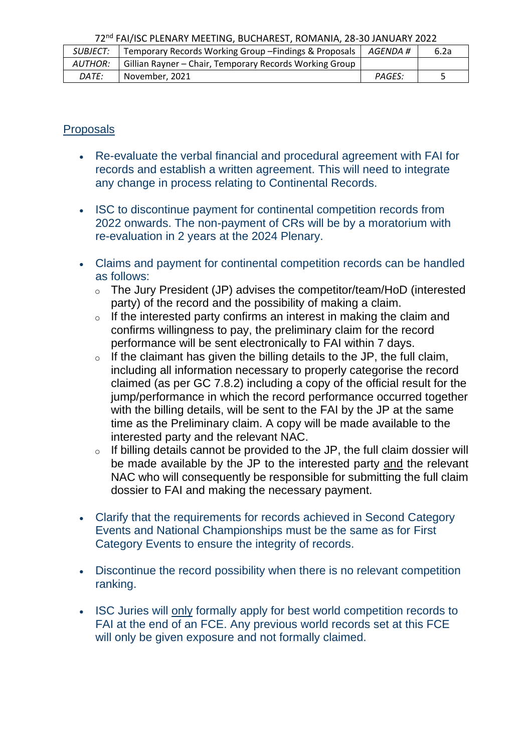| <b>SUBJECT:</b> | Temporary Records Working Group - Findings & Proposals  | AGENDA #      | 6.2a |
|-----------------|---------------------------------------------------------|---------------|------|
| AUTHOR:         | Gillian Rayner – Chair, Temporary Records Working Group |               |      |
| DATE:           | November, 2021                                          | <b>PAGES:</b> |      |

## **Proposals**

- Re-evaluate the verbal financial and procedural agreement with FAI for records and establish a written agreement. This will need to integrate any change in process relating to Continental Records.
- ISC to discontinue payment for continental competition records from 2022 onwards. The non-payment of CRs will be by a moratorium with re-evaluation in 2 years at the 2024 Plenary.
- Claims and payment for continental competition records can be handled as follows:
	- o The Jury President (JP) advises the competitor/team/HoD (interested party) of the record and the possibility of making a claim.
	- $\circ$  If the interested party confirms an interest in making the claim and confirms willingness to pay, the preliminary claim for the record performance will be sent electronically to FAI within 7 days.
	- $\circ$  If the claimant has given the billing details to the JP, the full claim, including all information necessary to properly categorise the record claimed (as per GC 7.8.2) including a copy of the official result for the jump/performance in which the record performance occurred together with the billing details, will be sent to the FAI by the JP at the same time as the Preliminary claim. A copy will be made available to the interested party and the relevant NAC.
	- o If billing details cannot be provided to the JP, the full claim dossier will be made available by the JP to the interested party and the relevant NAC who will consequently be responsible for submitting the full claim dossier to FAI and making the necessary payment.
- Clarify that the requirements for records achieved in Second Category Events and National Championships must be the same as for First Category Events to ensure the integrity of records.
- Discontinue the record possibility when there is no relevant competition ranking.
- ISC Juries will only formally apply for best world competition records to FAI at the end of an FCE. Any previous world records set at this FCE will only be given exposure and not formally claimed.